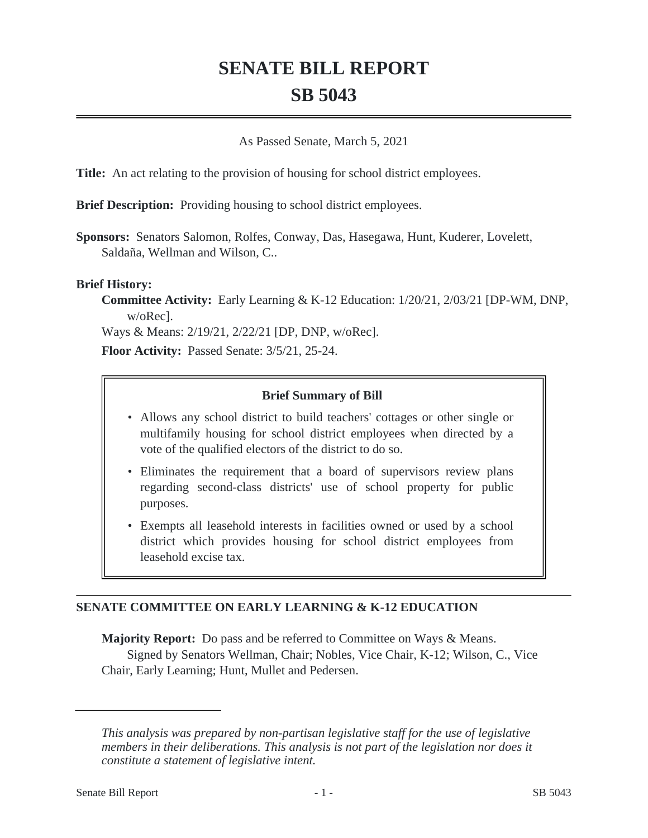# **SENATE BILL REPORT SB 5043**

#### As Passed Senate, March 5, 2021

**Title:** An act relating to the provision of housing for school district employees.

**Brief Description:** Providing housing to school district employees.

**Sponsors:** Senators Salomon, Rolfes, Conway, Das, Hasegawa, Hunt, Kuderer, Lovelett, Saldaña, Wellman and Wilson, C..

#### **Brief History:**

**Committee Activity:** Early Learning & K-12 Education: 1/20/21, 2/03/21 [DP-WM, DNP, w/oRec].

Ways & Means: 2/19/21, 2/22/21 [DP, DNP, w/oRec].

**Floor Activity:** Passed Senate: 3/5/21, 25-24.

## **Brief Summary of Bill**

- Allows any school district to build teachers' cottages or other single or multifamily housing for school district employees when directed by a vote of the qualified electors of the district to do so.
- Eliminates the requirement that a board of supervisors review plans regarding second-class districts' use of school property for public purposes.
- Exempts all leasehold interests in facilities owned or used by a school district which provides housing for school district employees from leasehold excise tax.

# **SENATE COMMITTEE ON EARLY LEARNING & K-12 EDUCATION**

**Majority Report:** Do pass and be referred to Committee on Ways & Means. Signed by Senators Wellman, Chair; Nobles, Vice Chair, K-12; Wilson, C., Vice Chair, Early Learning; Hunt, Mullet and Pedersen.

*This analysis was prepared by non-partisan legislative staff for the use of legislative members in their deliberations. This analysis is not part of the legislation nor does it constitute a statement of legislative intent.*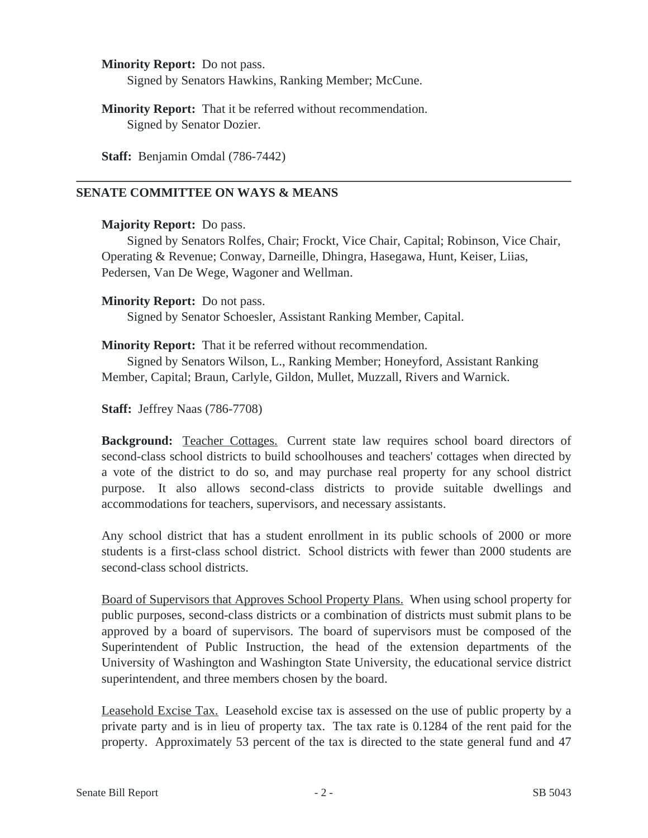**Minority Report:** Do not pass. Signed by Senators Hawkins, Ranking Member; McCune.

**Minority Report:** That it be referred without recommendation. Signed by Senator Dozier.

**Staff:** Benjamin Omdal (786-7442)

# **SENATE COMMITTEE ON WAYS & MEANS**

#### **Majority Report:** Do pass.

Signed by Senators Rolfes, Chair; Frockt, Vice Chair, Capital; Robinson, Vice Chair, Operating & Revenue; Conway, Darneille, Dhingra, Hasegawa, Hunt, Keiser, Liias, Pedersen, Van De Wege, Wagoner and Wellman.

## **Minority Report:** Do not pass.

Signed by Senator Schoesler, Assistant Ranking Member, Capital.

## **Minority Report:** That it be referred without recommendation.

Signed by Senators Wilson, L., Ranking Member; Honeyford, Assistant Ranking Member, Capital; Braun, Carlyle, Gildon, Mullet, Muzzall, Rivers and Warnick.

**Staff:** Jeffrey Naas (786-7708)

**Background:** Teacher Cottages. Current state law requires school board directors of second-class school districts to build schoolhouses and teachers' cottages when directed by a vote of the district to do so, and may purchase real property for any school district purpose. It also allows second-class districts to provide suitable dwellings and accommodations for teachers, supervisors, and necessary assistants.

Any school district that has a student enrollment in its public schools of 2000 or more students is a first-class school district. School districts with fewer than 2000 students are second-class school districts.

Board of Supervisors that Approves School Property Plans. When using school property for public purposes, second-class districts or a combination of districts must submit plans to be approved by a board of supervisors. The board of supervisors must be composed of the Superintendent of Public Instruction, the head of the extension departments of the University of Washington and Washington State University, the educational service district superintendent, and three members chosen by the board.

Leasehold Excise Tax. Leasehold excise tax is assessed on the use of public property by a private party and is in lieu of property tax. The tax rate is 0.1284 of the rent paid for the property. Approximately 53 percent of the tax is directed to the state general fund and 47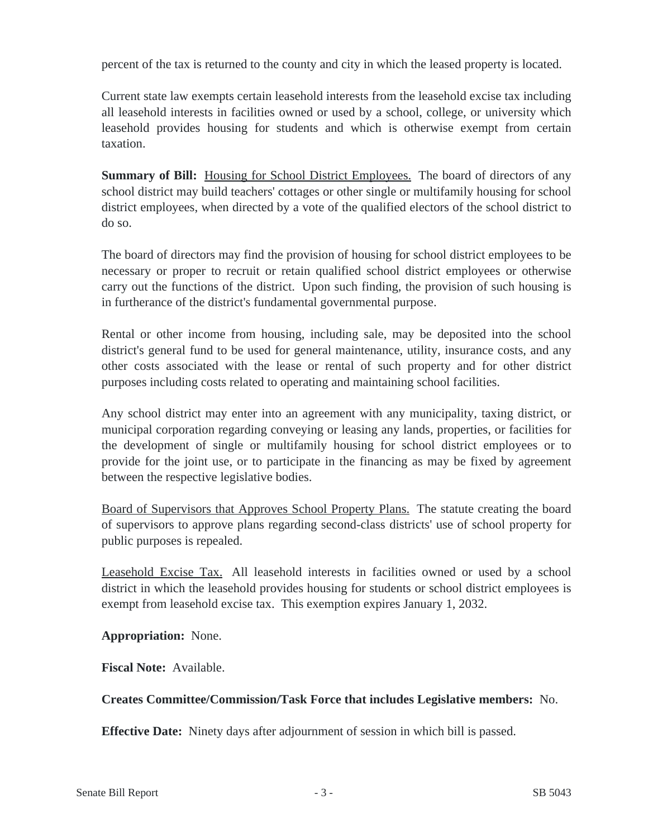percent of the tax is returned to the county and city in which the leased property is located.

Current state law exempts certain leasehold interests from the leasehold excise tax including all leasehold interests in facilities owned or used by a school, college, or university which leasehold provides housing for students and which is otherwise exempt from certain taxation.

**Summary of Bill:** Housing for School District Employees. The board of directors of any school district may build teachers' cottages or other single or multifamily housing for school district employees, when directed by a vote of the qualified electors of the school district to do so.

The board of directors may find the provision of housing for school district employees to be necessary or proper to recruit or retain qualified school district employees or otherwise carry out the functions of the district. Upon such finding, the provision of such housing is in furtherance of the district's fundamental governmental purpose.

Rental or other income from housing, including sale, may be deposited into the school district's general fund to be used for general maintenance, utility, insurance costs, and any other costs associated with the lease or rental of such property and for other district purposes including costs related to operating and maintaining school facilities.

Any school district may enter into an agreement with any municipality, taxing district, or municipal corporation regarding conveying or leasing any lands, properties, or facilities for the development of single or multifamily housing for school district employees or to provide for the joint use, or to participate in the financing as may be fixed by agreement between the respective legislative bodies.

Board of Supervisors that Approves School Property Plans. The statute creating the board of supervisors to approve plans regarding second-class districts' use of school property for public purposes is repealed.

Leasehold Excise Tax. All leasehold interests in facilities owned or used by a school district in which the leasehold provides housing for students or school district employees is exempt from leasehold excise tax. This exemption expires January 1, 2032.

**Appropriation:** None.

**Fiscal Note:** Available.

# **Creates Committee/Commission/Task Force that includes Legislative members:** No.

**Effective Date:** Ninety days after adjournment of session in which bill is passed.